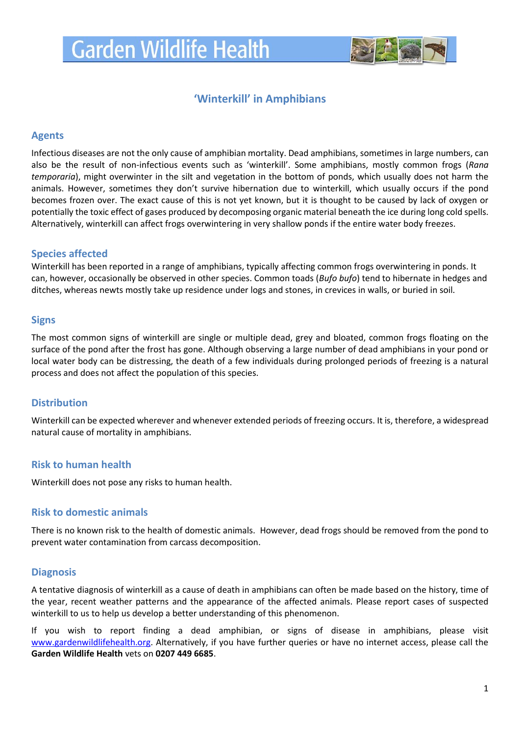

# **'Winterkill' in Amphibians**

## **Agents**

Infectious diseases are not the only cause of amphibian mortality. Dead amphibians, sometimes in large numbers, can also be the result of non-infectious events such as 'winterkill'. Some amphibians, mostly common frogs (*Rana temporaria*), might overwinter in the silt and vegetation in the bottom of ponds, which usually does not harm the animals. However, sometimes they don't survive hibernation due to winterkill, which usually occurs if the pond becomes frozen over. The exact cause of this is not yet known, but it is thought to be caused by lack of oxygen or potentially the toxic effect of gases produced by decomposing organic material beneath the ice during long cold spells. Alternatively, winterkill can affect frogs overwintering in very shallow ponds if the entire water body freezes.

### **Species affected**

Winterkill has been reported in a range of amphibians, typically affecting common frogs overwintering in ponds. It can, however, occasionally be observed in other species. Common toads (*Bufo bufo*) tend to hibernate in hedges and ditches, whereas newts mostly take up residence under logs and stones, in crevices in walls, or buried in soil.

### **Signs**

The most common signs of winterkill are single or multiple dead, grey and bloated, common frogs floating on the surface of the pond after the frost has gone. Although observing a large number of dead amphibians in your pond or local water body can be distressing, the death of a few individuals during prolonged periods of freezing is a natural process and does not affect the population of this species.

## **Distribution**

Winterkill can be expected wherever and whenever extended periods of freezing occurs. It is, therefore, a widespread natural cause of mortality in amphibians.

### **Risk to human health**

Winterkill does not pose any risks to human health.

## **Risk to domestic animals**

There is no known risk to the health of domestic animals. However, dead frogs should be removed from the pond to prevent water contamination from carcass decomposition.

### **Diagnosis**

A tentative diagnosis of winterkill as a cause of death in amphibians can often be made based on the history, time of the year, recent weather patterns and the appearance of the affected animals. Please report cases of suspected winterkill to us to help us develop a better understanding of this phenomenon.

If you wish to report finding a dead amphibian, or signs of disease in amphibians, please visit [www.gardenwildlifehealth.org.](http://www.gardenwildlifehealth.org/) Alternatively, if you have further queries or have no internet access, please call the **Garden Wildlife Health** vets on **0207 449 6685**.